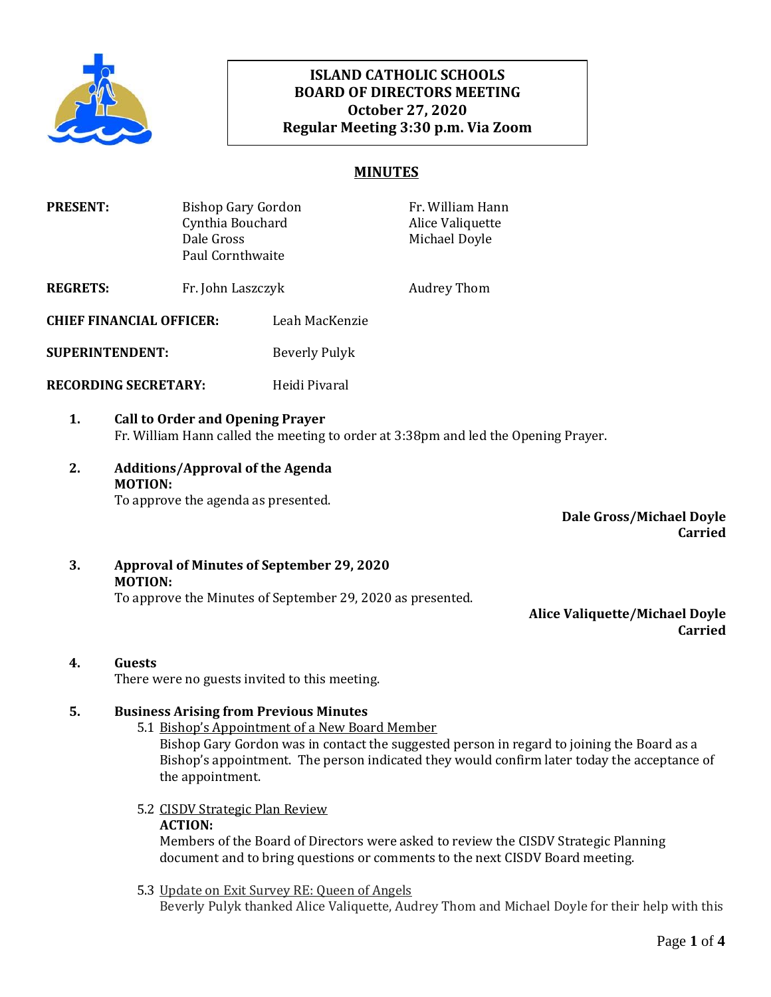

## **ISLAND CATHOLIC SCHOOLS BOARD OF DIRECTORS MEETING October 27, 2020 Regular Meeting 3:30 p.m. Via Zoom**

## **MINUTES**

| <b>PRESENT:</b>                 | Bishop Gary Gordon<br>Cynthia Bouchard<br>Dale Gross<br>Paul Cornthwaite |                | Fr. William Hann<br>Alice Valiquette<br>Michael Doyle |
|---------------------------------|--------------------------------------------------------------------------|----------------|-------------------------------------------------------|
| <b>REGRETS:</b>                 | Fr. John Laszczyk                                                        |                | <b>Audrey Thom</b>                                    |
| <b>CHIEF FINANCIAL OFFICER:</b> |                                                                          | Leah MacKenzie |                                                       |
| <b>SUPERINTENDENT:</b>          |                                                                          | Beverly Pulyk  |                                                       |
| <b>RECORDING SECRETARY:</b>     |                                                                          | Heidi Pivaral  |                                                       |
|                                 |                                                                          |                |                                                       |

- **1. Call to Order and Opening Prayer**  Fr. William Hann called the meeting to order at 3:38pm and led the Opening Prayer.
- **2. Additions/Approval of the Agenda MOTION:** To approve the agenda as presented.

**Dale Gross/Michael Doyle Carried**

**3. Approval of Minutes of September 29, 2020 MOTION:** To approve the Minutes of September 29, 2020 as presented.

**Alice Valiquette/Michael Doyle Carried**

**4. Guests**

There were no guests invited to this meeting.

#### **5. Business Arising from Previous Minutes**

- 5.1 Bishop's Appointment of a New Board Member Bishop Gary Gordon was in contact the suggested person in regard to joining the Board as a Bishop's appointment. The person indicated they would confirm later today the acceptance of the appointment.
- 5.2 CISDV Strategic Plan Review **ACTION:**

Members of the Board of Directors were asked to review the CISDV Strategic Planning document and to bring questions or comments to the next CISDV Board meeting.

5.3 Update on Exit Survey RE: Queen of Angels

Beverly Pulyk thanked Alice Valiquette, Audrey Thom and Michael Doyle for their help with this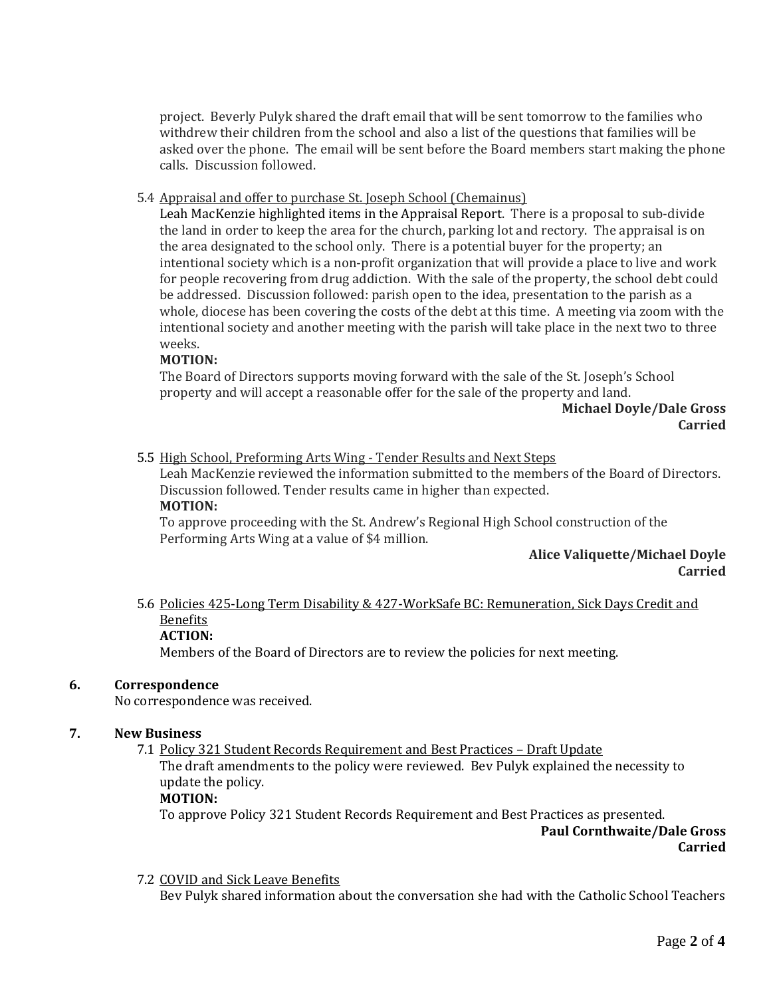project. Beverly Pulyk shared the draft email that will be sent tomorrow to the families who withdrew their children from the school and also a list of the questions that families will be asked over the phone. The email will be sent before the Board members start making the phone calls. Discussion followed.

### 5.4 Appraisal and offer to purchase St. Joseph School (Chemainus)

Leah MacKenzie highlighted items in the Appraisal Report. There is a proposal to sub-divide the land in order to keep the area for the church, parking lot and rectory. The appraisal is on the area designated to the school only. There is a potential buyer for the property; an intentional society which is a non-profit organization that will provide a place to live and work for people recovering from drug addiction. With the sale of the property, the school debt could be addressed. Discussion followed: parish open to the idea, presentation to the parish as a whole, diocese has been covering the costs of the debt at this time. A meeting via zoom with the intentional society and another meeting with the parish will take place in the next two to three weeks.

## **MOTION:**

The Board of Directors supports moving forward with the sale of the St. Joseph's School property and will accept a reasonable offer for the sale of the property and land.

> **Michael Doyle/Dale Gross Carried**

5.5 High School, Preforming Arts Wing - Tender Results and Next Steps

Leah MacKenzie reviewed the information submitted to the members of the Board of Directors. Discussion followed. Tender results came in higher than expected.

#### **MOTION:**

To approve proceeding with the St. Andrew's Regional High School construction of the Performing Arts Wing at a value of \$4 million.

#### **Alice Valiquette/Michael Doyle Carried**

# 5.6 Policies 425-Long Term Disability & 427-WorkSafe BC: Remuneration, Sick Days Credit and Benefits

## **ACTION:**

Members of the Board of Directors are to review the policies for next meeting.

#### **6. Correspondence**

No correspondence was received.

#### **7. New Business**

7.1 Policy 321 Student Records Requirement and Best Practices – Draft Update

The draft amendments to the policy were reviewed. Bev Pulyk explained the necessity to update the policy.

#### **MOTION:**

To approve Policy 321 Student Records Requirement and Best Practices as presented.

**Paul Cornthwaite/Dale Gross Carried**

#### 7.2 COVID and Sick Leave Benefits

Bev Pulyk shared information about the conversation she had with the Catholic School Teachers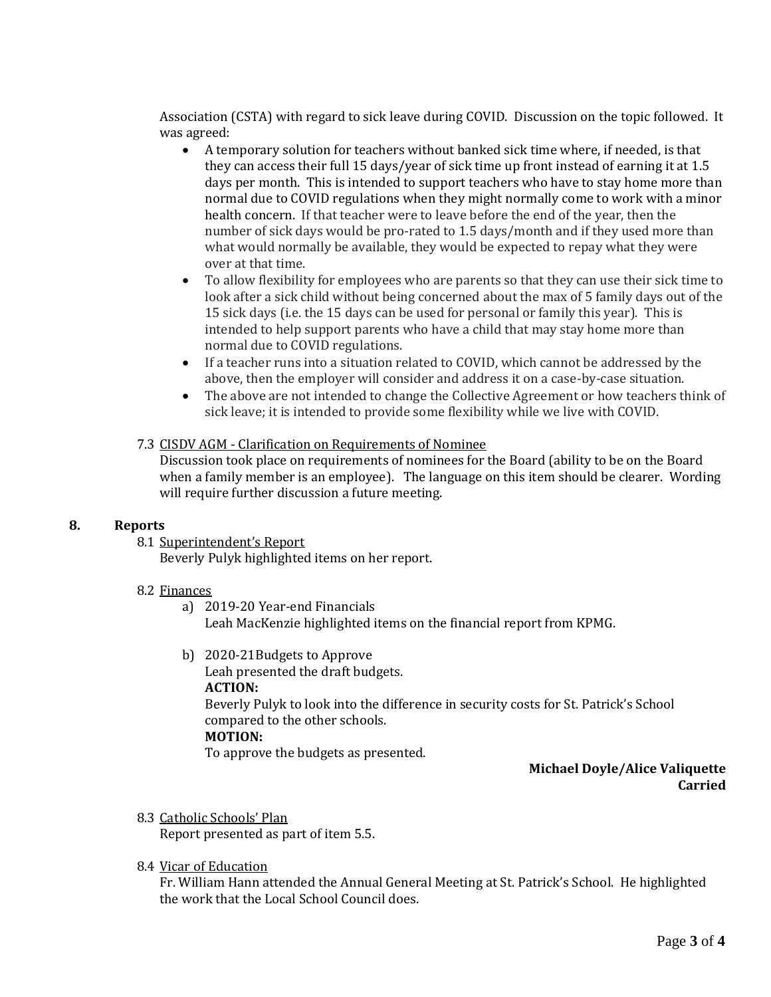Association (CSTA) with regard to sick leave during COVID. Discussion on the topic followed. It was agreed:

- A temporary solution for teachers without banked sick time where, if needed, is that they can access their full 15 days/year of sick time up front instead of earning it at 1.5 days per month. This is intended to support teachers who have to stay home more than normal due to COVID regulations when they might normally come to work with a minor health concern. If that teacher were to leave before the end of the year, then the number of sick days would be pro-rated to 1.5 days/month and if they used more than what would normally be available, they would be expected to repay what they were over at that time.
- To allow flexibility for employees who are parents so that they can use their sick time to look after a sick child without being concerned about the max of 5 family days out of the 15 sick days (i.e. the 15 days can be used for personal or family this year). This is intended to help support parents who have a child that may stay home more than normal due to COVID regulations.
- If a teacher runs into a situation related to COVID, which cannot be addressed by the above, then the employer will consider and address it on a case-by-case situation.
- The above are not intended to change the Collective Agreement or how teachers think of sick leave; it is intended to provide some flexibility while we live with COVID.

## 7.3 CISDV AGM - Clarification on Requirements of Nominee

Discussion took place on requirements of nominees for the Board (ability to be on the Board when a family member is an employee). The language on this item should be clearer. Wording will require further discussion a future meeting.

## **8. Reports**

#### 8.1 Superintendent's Report

Beverly Pulyk highlighted items on her report.

### 8.2 Finances

- a) 2019-20 Year-end Financials Leah MacKenzie highlighted items on the financial report from KPMG.
- b) 2020-21Budgets to Approve Leah presented the draft budgets. **ACTION:** Beverly Pulyk to look into the difference in security costs for St. Patrick's School compared to the other schools. **MOTION:** To approve the budgets as presented.

## **Michael Doyle/Alice Valiquette Carried**

8.3 Catholic Schools' Plan

Report presented as part of item 5.5.

8.4 Vicar of Education

Fr. William Hann attended the Annual General Meeting at St. Patrick's School. He highlighted the work that the Local School Council does.